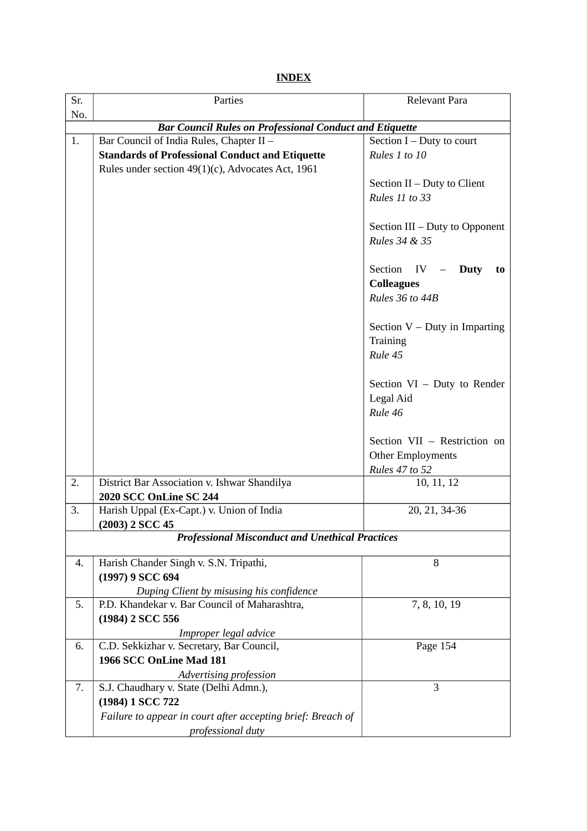**INDEX**

| Sr.                                                            | Parties                                                                                                | Relevant Para                                                              |  |  |
|----------------------------------------------------------------|--------------------------------------------------------------------------------------------------------|----------------------------------------------------------------------------|--|--|
| No.                                                            |                                                                                                        |                                                                            |  |  |
| <b>Bar Council Rules on Professional Conduct and Etiquette</b> |                                                                                                        |                                                                            |  |  |
| 1.                                                             | Bar Council of India Rules, Chapter II -                                                               | Section $I$ – Duty to court                                                |  |  |
|                                                                | <b>Standards of Professional Conduct and Etiquette</b>                                                 | Rules 1 to 10                                                              |  |  |
|                                                                | Rules under section 49(1)(c), Advocates Act, 1961                                                      | Section II - Duty to Client<br>Rules 11 to 33                              |  |  |
|                                                                |                                                                                                        | Section III – Duty to Opponent<br>Rules 34 & 35                            |  |  |
|                                                                |                                                                                                        | Section<br>IV<br>$-$ Duty<br>to<br><b>Colleagues</b><br>Rules 36 to 44B    |  |  |
|                                                                |                                                                                                        | Section $V$ – Duty in Imparting<br>Training<br>Rule 45                     |  |  |
|                                                                |                                                                                                        | Section $VI$ – Duty to Render<br>Legal Aid<br>Rule 46                      |  |  |
|                                                                |                                                                                                        | Section VII - Restriction on<br>Other Employments<br><b>Rules 47 to 52</b> |  |  |
| 2.                                                             | District Bar Association v. Ishwar Shandilya<br><b>2020 SCC OnLine SC 244</b>                          | 10, 11, 12                                                                 |  |  |
| 3.                                                             | Harish Uppal (Ex-Capt.) v. Union of India<br>(2003) 2 SCC 45                                           | 20, 21, 34-36                                                              |  |  |
|                                                                | <b>Professional Misconduct and Unethical Practices</b>                                                 |                                                                            |  |  |
| 4.                                                             | Harish Chander Singh v. S.N. Tripathi,<br>(1997) 9 SCC 694<br>Duping Client by misusing his confidence | 8                                                                          |  |  |
| 5.                                                             | P.D. Khandekar v. Bar Council of Maharashtra,<br>(1984) 2 SCC 556                                      | 7, 8, 10, 19                                                               |  |  |
| 6.                                                             | Improper legal advice<br>C.D. Sekkizhar v. Secretary, Bar Council,                                     | Page 154                                                                   |  |  |
|                                                                | 1966 SCC OnLine Mad 181<br>Advertising profession                                                      |                                                                            |  |  |
| 7.                                                             | S.J. Chaudhary v. State (Delhi Admn.),                                                                 | 3                                                                          |  |  |
|                                                                | (1984) 1 SCC 722                                                                                       |                                                                            |  |  |
|                                                                | Failure to appear in court after accepting brief: Breach of<br>professional duty                       |                                                                            |  |  |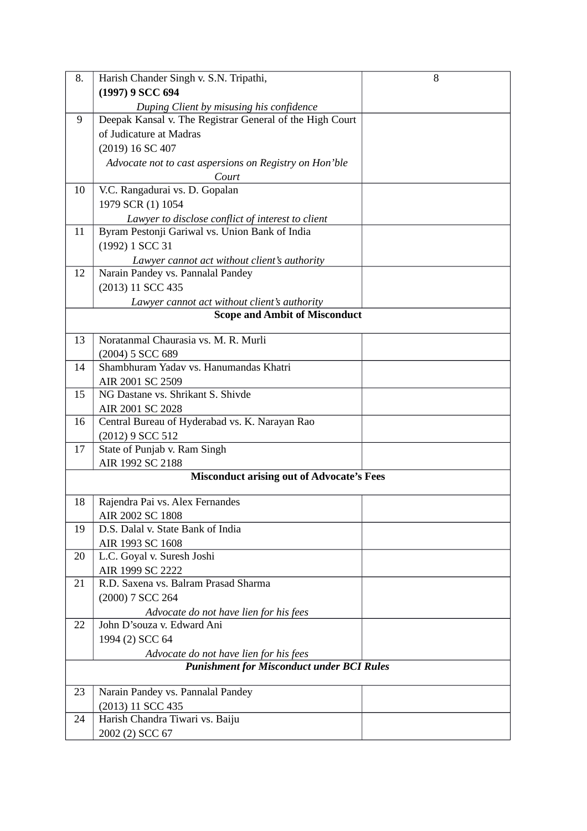| 8. | Harish Chander Singh v. S.N. Tripathi,                   | 8 |
|----|----------------------------------------------------------|---|
|    | (1997) 9 SCC 694                                         |   |
|    | Duping Client by misusing his confidence                 |   |
| 9  | Deepak Kansal v. The Registrar General of the High Court |   |
|    | of Judicature at Madras                                  |   |
|    | (2019) 16 SC 407                                         |   |
|    | Advocate not to cast aspersions on Registry on Hon'ble   |   |
|    | Court                                                    |   |
| 10 | V.C. Rangadurai vs. D. Gopalan                           |   |
|    | 1979 SCR (1) 1054                                        |   |
|    | Lawyer to disclose conflict of interest to client        |   |
| 11 | Byram Pestonji Gariwal vs. Union Bank of India           |   |
|    | (1992) 1 SCC 31                                          |   |
|    | Lawyer cannot act without client's authority             |   |
| 12 | Narain Pandey vs. Pannalal Pandey                        |   |
|    | (2013) 11 SCC 435                                        |   |
|    | Lawyer cannot act without client's authority             |   |
|    | <b>Scope and Ambit of Misconduct</b>                     |   |
|    |                                                          |   |
| 13 | Noratanmal Chaurasia vs. M. R. Murli                     |   |
|    | (2004) 5 SCC 689                                         |   |
| 14 | Shambhuram Yadav vs. Hanumandas Khatri                   |   |
|    | AIR 2001 SC 2509                                         |   |
| 15 | NG Dastane vs. Shrikant S. Shivde                        |   |
|    | AIR 2001 SC 2028                                         |   |
| 16 | Central Bureau of Hyderabad vs. K. Narayan Rao           |   |
|    | (2012) 9 SCC 512                                         |   |
| 17 | State of Punjab v. Ram Singh                             |   |
|    | AIR 1992 SC 2188                                         |   |
|    | <b>Misconduct arising out of Advocate's Fees</b>         |   |
| 18 | Rajendra Pai vs. Alex Fernandes                          |   |
|    | AIR 2002 SC 1808                                         |   |
| 19 | D.S. Dalal v. State Bank of India                        |   |
|    | AIR 1993 SC 1608                                         |   |
| 20 | L.C. Goyal v. Suresh Joshi                               |   |
|    | AIR 1999 SC 2222                                         |   |
| 21 | R.D. Saxena vs. Balram Prasad Sharma                     |   |
|    | (2000) 7 SCC 264                                         |   |
|    | Advocate do not have lien for his fees                   |   |
| 22 | John D'souza v. Edward Ani                               |   |
|    | 1994 (2) SCC 64                                          |   |
|    | Advocate do not have lien for his fees                   |   |
|    | <b>Punishment for Misconduct under BCI Rules</b>         |   |
|    |                                                          |   |
| 23 | Narain Pandey vs. Pannalal Pandey                        |   |
|    | (2013) 11 SCC 435                                        |   |
| 24 | Harish Chandra Tiwari vs. Baiju                          |   |
|    | 2002 (2) SCC 67                                          |   |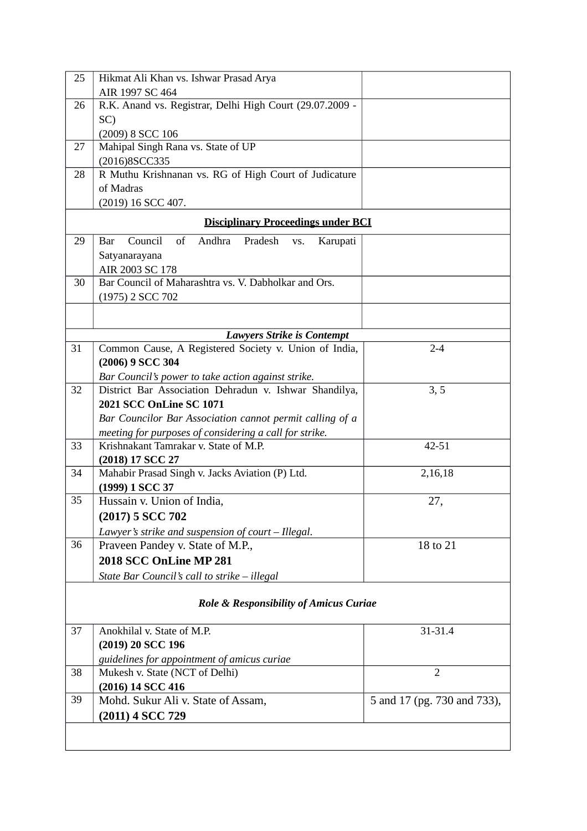| 25                                        | Hikmat Ali Khan vs. Ishwar Prasad Arya                       |                             |  |  |  |
|-------------------------------------------|--------------------------------------------------------------|-----------------------------|--|--|--|
|                                           | AIR 1997 SC 464                                              |                             |  |  |  |
| 26                                        | R.K. Anand vs. Registrar, Delhi High Court (29.07.2009 -     |                             |  |  |  |
|                                           | SC)                                                          |                             |  |  |  |
|                                           | (2009) 8 SCC 106                                             |                             |  |  |  |
| 27                                        | Mahipal Singh Rana vs. State of UP                           |                             |  |  |  |
|                                           | (2016)8SCC335                                                |                             |  |  |  |
| 28                                        | R Muthu Krishnanan vs. RG of High Court of Judicature        |                             |  |  |  |
|                                           | of Madras                                                    |                             |  |  |  |
|                                           | (2019) 16 SCC 407.                                           |                             |  |  |  |
| <b>Disciplinary Proceedings under BCI</b> |                                                              |                             |  |  |  |
| 29                                        | Andhra<br>Council<br>of<br>Pradesh<br>Karupati<br>Bar<br>VS. |                             |  |  |  |
|                                           | Satyanarayana                                                |                             |  |  |  |
|                                           | AIR 2003 SC 178                                              |                             |  |  |  |
| 30                                        | Bar Council of Maharashtra vs. V. Dabholkar and Ors.         |                             |  |  |  |
|                                           | (1975) 2 SCC 702                                             |                             |  |  |  |
|                                           |                                                              |                             |  |  |  |
|                                           | <b>Lawyers Strike is Contempt</b>                            |                             |  |  |  |
| 31                                        | Common Cause, A Registered Society v. Union of India,        | $2 - 4$                     |  |  |  |
|                                           | (2006) 9 SCC 304                                             |                             |  |  |  |
|                                           | Bar Council's power to take action against strike.           |                             |  |  |  |
| 32                                        | District Bar Association Dehradun v. Ishwar Shandilya,       | 3, 5                        |  |  |  |
|                                           | 2021 SCC OnLine SC 1071                                      |                             |  |  |  |
|                                           | Bar Councilor Bar Association cannot permit calling of a     |                             |  |  |  |
|                                           | meeting for purposes of considering a call for strike.       |                             |  |  |  |
| 33                                        | Krishnakant Tamrakar v. State of M.P.                        | 42-51                       |  |  |  |
|                                           | (2018) 17 SCC 27                                             |                             |  |  |  |
| 34                                        | Mahabir Prasad Singh v. Jacks Aviation (P) Ltd.              | 2,16,18                     |  |  |  |
|                                           | (1999) 1 SCC 37                                              |                             |  |  |  |
| 35                                        | Hussain v. Union of India,                                   | 27,                         |  |  |  |
|                                           | (2017) 5 SCC 702                                             |                             |  |  |  |
|                                           | Lawyer's strike and suspension of court - Illegal.           |                             |  |  |  |
| 36                                        | Praveen Pandey v. State of M.P.,                             | 18 to 21                    |  |  |  |
|                                           | 2018 SCC OnLine MP 281                                       |                             |  |  |  |
|                                           | State Bar Council's call to strike - illegal                 |                             |  |  |  |
|                                           |                                                              |                             |  |  |  |
|                                           | Role & Responsibility of Amicus Curiae                       |                             |  |  |  |
|                                           |                                                              |                             |  |  |  |
| 37                                        | Anokhilal v. State of M.P.                                   | 31-31.4                     |  |  |  |
|                                           | (2019) 20 SCC 196                                            |                             |  |  |  |
|                                           | guidelines for appointment of amicus curiae                  |                             |  |  |  |
| 38                                        | Mukesh v. State (NCT of Delhi)                               | $\overline{2}$              |  |  |  |
|                                           | (2016) 14 SCC 416                                            |                             |  |  |  |
| 39                                        | Mohd. Sukur Ali v. State of Assam,                           | 5 and 17 (pg. 730 and 733), |  |  |  |
|                                           | (2011) 4 SCC 729                                             |                             |  |  |  |
|                                           |                                                              |                             |  |  |  |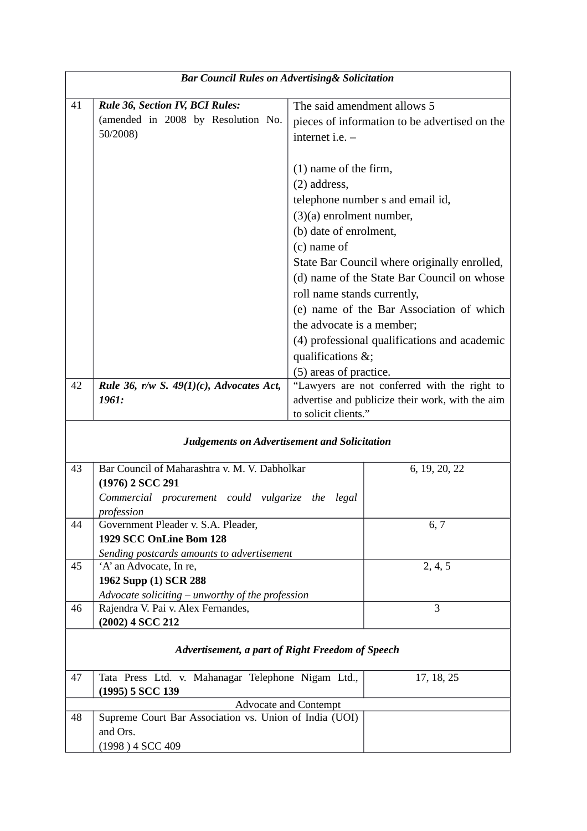| <b>Bar Council Rules on Advertising &amp; Solicitation</b> |                                                                        |                                                  |  |  |
|------------------------------------------------------------|------------------------------------------------------------------------|--------------------------------------------------|--|--|
|                                                            |                                                                        |                                                  |  |  |
| 41                                                         | Rule 36, Section IV, BCI Rules:<br>(amended in 2008 by Resolution No.  | The said amendment allows 5                      |  |  |
|                                                            | 50/2008)                                                               | pieces of information to be advertised on the    |  |  |
|                                                            |                                                                        | internet i.e. -                                  |  |  |
|                                                            |                                                                        | (1) name of the firm,                            |  |  |
|                                                            |                                                                        | (2) address,                                     |  |  |
|                                                            |                                                                        | telephone number s and email id,                 |  |  |
|                                                            |                                                                        | $(3)(a)$ enrolment number,                       |  |  |
|                                                            |                                                                        | (b) date of enrolment,                           |  |  |
|                                                            |                                                                        | (c) name of                                      |  |  |
|                                                            |                                                                        | State Bar Council where originally enrolled,     |  |  |
|                                                            |                                                                        | (d) name of the State Bar Council on whose       |  |  |
|                                                            |                                                                        | roll name stands currently,                      |  |  |
|                                                            |                                                                        | (e) name of the Bar Association of which         |  |  |
|                                                            |                                                                        | the advocate is a member;                        |  |  |
|                                                            |                                                                        | (4) professional qualifications and academic     |  |  |
|                                                            |                                                                        | qualifications &;                                |  |  |
|                                                            |                                                                        | (5) areas of practice.                           |  |  |
| 42                                                         | Rule 36, r/w S. $49(1)(c)$ , Advocates Act,                            | "Lawyers are not conferred with the right to     |  |  |
|                                                            | 1961:                                                                  | advertise and publicize their work, with the aim |  |  |
|                                                            |                                                                        | to solicit clients."                             |  |  |
| <b>Judgements on Advertisement and Solicitation</b>        |                                                                        |                                                  |  |  |
| 43                                                         | Bar Council of Maharashtra v. M. V. Dabholkar                          | 6, 19, 20, 22                                    |  |  |
|                                                            | (1976) 2 SCC 291                                                       |                                                  |  |  |
|                                                            | Commercial procurement could vulgarize the                             | legal                                            |  |  |
| 44                                                         | profession<br>Government Pleader v. S.A. Pleader,                      | 6, 7                                             |  |  |
|                                                            | 1929 SCC OnLine Bom 128                                                |                                                  |  |  |
|                                                            | Sending postcards amounts to advertisement                             |                                                  |  |  |
| 45                                                         | 'A' an Advocate, In re,                                                | 2, 4, 5                                          |  |  |
|                                                            | 1962 Supp (1) SCR 288                                                  |                                                  |  |  |
|                                                            | Advocate soliciting – unworthy of the profession                       |                                                  |  |  |
| 46                                                         | Rajendra V. Pai v. Alex Fernandes,                                     | $\overline{3}$                                   |  |  |
|                                                            | (2002) 4 SCC 212                                                       |                                                  |  |  |
|                                                            |                                                                        | Advertisement, a part of Right Freedom of Speech |  |  |
| 47                                                         | Tata Press Ltd. v. Mahanagar Telephone Nigam Ltd.,<br>(1995) 5 SCC 139 | 17, 18, 25                                       |  |  |
|                                                            |                                                                        | <b>Advocate and Contempt</b>                     |  |  |
| 48                                                         | Supreme Court Bar Association vs. Union of India (UOI)                 |                                                  |  |  |
|                                                            | and Ors.                                                               |                                                  |  |  |
|                                                            | (1998) 4 SCC 409                                                       |                                                  |  |  |